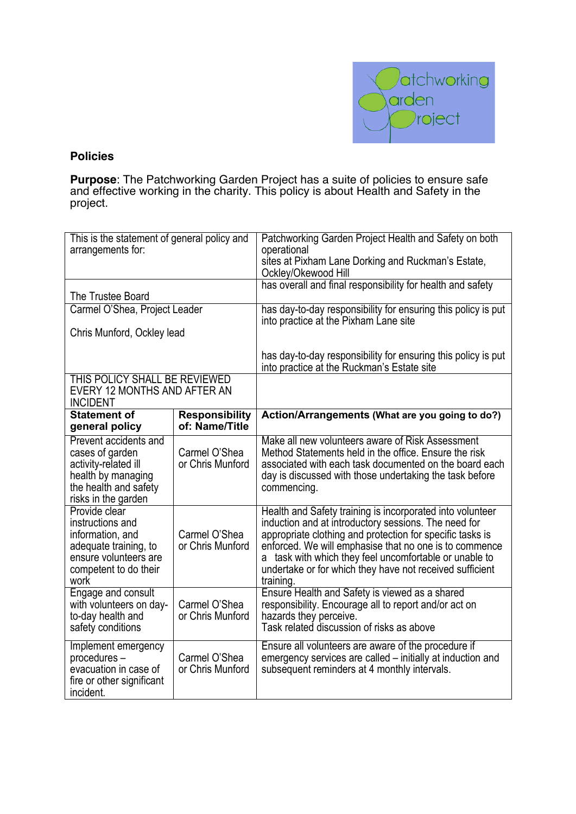

## **Policies**

**Purpose**: The Patchworking Garden Project has a suite of policies to ensure safe and effective working in the charity. This policy is about Health and Safety in the project.

| This is the statement of general policy and<br>arrangements for:                                                                         |                                         | Patchworking Garden Project Health and Safety on both<br>operational<br>sites at Pixham Lane Dorking and Ruckman's Estate,<br>Ockley/Okewood Hill                                                                                                                                                                                                                           |
|------------------------------------------------------------------------------------------------------------------------------------------|-----------------------------------------|-----------------------------------------------------------------------------------------------------------------------------------------------------------------------------------------------------------------------------------------------------------------------------------------------------------------------------------------------------------------------------|
| The Trustee Board                                                                                                                        |                                         | has overall and final responsibility for health and safety                                                                                                                                                                                                                                                                                                                  |
| Carmel O'Shea, Project Leader                                                                                                            |                                         | has day-to-day responsibility for ensuring this policy is put<br>into practice at the Pixham Lane site                                                                                                                                                                                                                                                                      |
| Chris Munford, Ockley lead                                                                                                               |                                         |                                                                                                                                                                                                                                                                                                                                                                             |
|                                                                                                                                          |                                         | has day-to-day responsibility for ensuring this policy is put<br>into practice at the Ruckman's Estate site                                                                                                                                                                                                                                                                 |
| THIS POLICY SHALL BE REVIEWED<br>EVERY 12 MONTHS AND AFTER AN<br><b>INCIDENT</b>                                                         |                                         |                                                                                                                                                                                                                                                                                                                                                                             |
| <b>Statement of</b><br>general policy                                                                                                    | <b>Responsibility</b><br>of: Name/Title | Action/Arrangements (What are you going to do?)                                                                                                                                                                                                                                                                                                                             |
| Prevent accidents and<br>cases of garden<br>activity-related ill<br>health by managing<br>the health and safety<br>risks in the garden   | Carmel O'Shea<br>or Chris Munford       | Make all new volunteers aware of Risk Assessment<br>Method Statements held in the office. Ensure the risk<br>associated with each task documented on the board each<br>day is discussed with those undertaking the task before<br>commencing.                                                                                                                               |
| Provide clear<br>instructions and<br>information, and<br>adequate training, to<br>ensure volunteers are<br>competent to do their<br>work | Carmel O'Shea<br>or Chris Munford       | Health and Safety training is incorporated into volunteer<br>induction and at introductory sessions. The need for<br>appropriate clothing and protection for specific tasks is<br>enforced. We will emphasise that no one is to commence<br>a task with which they feel uncomfortable or unable to<br>undertake or for which they have not received sufficient<br>training. |
| Engage and consult<br>with volunteers on day-<br>to-day health and<br>safety conditions                                                  | Carmel O'Shea<br>or Chris Munford       | Ensure Health and Safety is viewed as a shared<br>responsibility. Encourage all to report and/or act on<br>hazards they perceive.<br>Task related discussion of risks as above                                                                                                                                                                                              |
| Implement emergency<br>procedures-<br>evacuation in case of<br>fire or other significant<br>incident.                                    | Carmel O'Shea<br>or Chris Munford       | Ensure all volunteers are aware of the procedure if<br>emergency services are called – initially at induction and<br>subsequent reminders at 4 monthly intervals.                                                                                                                                                                                                           |